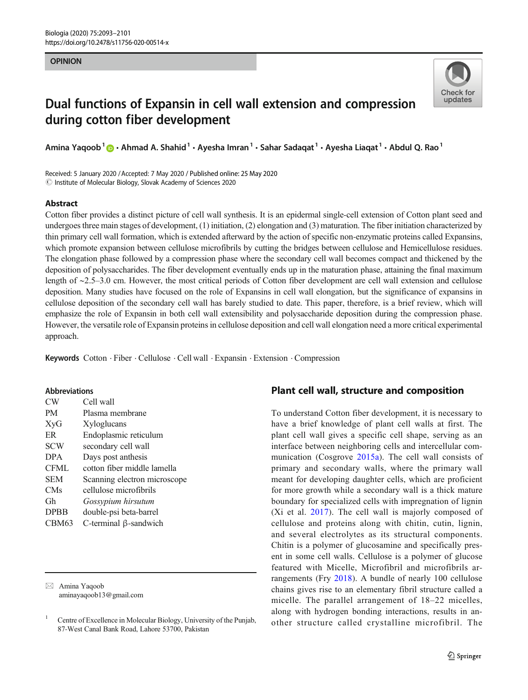#### OPINION



# Dual functions of Expansin in cell wall extension and compression during cotton fiber development

Amina Yaqoob<sup>1</sup>  $\bigcirc$  + Ahmad A. Shahid<sup>1</sup> + Ayesha Imran<sup>1</sup> + Sahar Sadaqat<sup>1</sup> + Ayesha Liaqat<sup>1</sup> + Abdul Q. Rao<sup>1</sup>

Received: 5 January 2020 /Accepted: 7 May 2020 / Published online: 25 May 2020  $\odot$  Institute of Molecular Biology, Slovak Academy of Sciences 2020

## Abstract

Cotton fiber provides a distinct picture of cell wall synthesis. It is an epidermal single-cell extension of Cotton plant seed and undergoes three main stages of development, (1) initiation, (2) elongation and (3) maturation. The fiber initiation characterized by thin primary cell wall formation, which is extended afterward by the action of specific non-enzymatic proteins called Expansins, which promote expansion between cellulose microfibrils by cutting the bridges between cellulose and Hemicellulose residues. The elongation phase followed by a compression phase where the secondary cell wall becomes compact and thickened by the deposition of polysaccharides. The fiber development eventually ends up in the maturation phase, attaining the final maximum length of ∼2.5–3.0 cm. However, the most critical periods of Cotton fiber development are cell wall extension and cellulose deposition. Many studies have focused on the role of Expansins in cell wall elongation, but the significance of expansins in cellulose deposition of the secondary cell wall has barely studied to date. This paper, therefore, is a brief review, which will emphasize the role of Expansin in both cell wall extensibility and polysaccharide deposition during the compression phase. However, the versatile role of Expansin proteins in cellulose deposition and cell wall elongation need a more critical experimental approach.

Keywords Cotton . Fiber . Cellulose . Cell wall . Expansin . Extension . Compression

### Abbreviations

| CW                | Cell wall                    |
|-------------------|------------------------------|
| <b>PM</b>         | Plasma membrane              |
| XyG               | Xyloglucans                  |
| ER                | Endoplasmic reticulum        |
| <b>SCW</b>        | secondary cell wall          |
| <b>DPA</b>        | Days post anthesis           |
| <b>CFML</b>       | cotton fiber middle lamella  |
| <b>SEM</b>        | Scanning electron microscope |
| <b>CMs</b>        | cellulose microfibrils       |
| Gh                | Gossypium hirsutum           |
| <b>DPBB</b>       | double-psi beta-barrel       |
| CBM <sub>63</sub> | C-terminal $\beta$ -sandwich |

 $\boxtimes$  Amina Yaqoob [aminayaqoob13@gmail.com](mailto:aminayaqoob13@gmail.com)

# Plant cell wall, structure and composition

To understand Cotton fiber development, it is necessary to have a brief knowledge of plant cell walls at first. The plant cell wall gives a specific cell shape, serving as an interface between neighboring cells and intercellular communication (Cosgrove [2015a\)](#page-7-0). The cell wall consists of primary and secondary walls, where the primary wall meant for developing daughter cells, which are proficient for more growth while a secondary wall is a thick mature boundary for specialized cells with impregnation of lignin (Xi et al. [2017\)](#page-8-0). The cell wall is majorly composed of cellulose and proteins along with chitin, cutin, lignin, and several electrolytes as its structural components. Chitin is a polymer of glucosamine and specifically present in some cell walls. Cellulose is a polymer of glucose featured with Micelle, Microfibril and microfibrils arrangements (Fry [2018](#page-7-0)). A bundle of nearly 100 cellulose chains gives rise to an elementary fibril structure called a micelle. The parallel arrangement of 18–22 micelles, along with hydrogen bonding interactions, results in another structure called crystalline microfibril. The

<sup>1</sup> Centre of Excellence in Molecular Biology, University of the Punjab, 87-West Canal Bank Road, Lahore 53700, Pakistan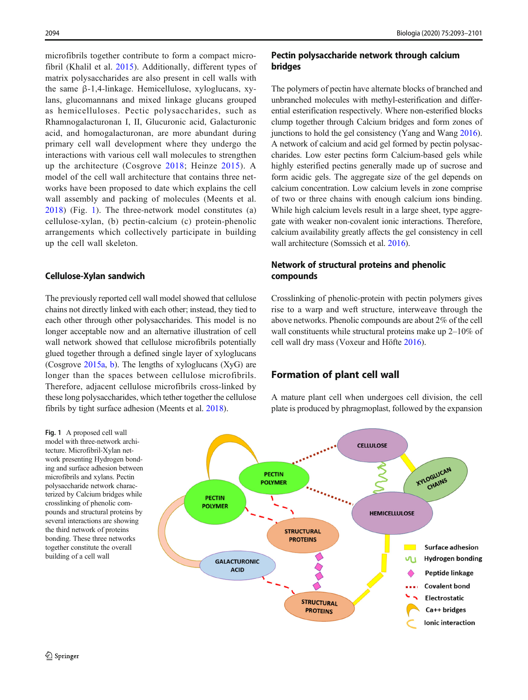microfibrils together contribute to form a compact microfibril (Khalil et al. [2015](#page-7-0)). Additionally, different types of matrix polysaccharides are also present in cell walls with the same β-1,4-linkage. Hemicellulose, xyloglucans, xylans, glucomannans and mixed linkage glucans grouped as hemicelluloses. Pectic polysaccharides, such as Rhamnogalacturonan I, II, Glucuronic acid, Galacturonic acid, and homogalacturonan, are more abundant during primary cell wall development where they undergo the interactions with various cell wall molecules to strengthen up the architecture (Cosgrove [2018;](#page-7-0) Heinze [2015\)](#page-7-0). A model of the cell wall architecture that contains three networks have been proposed to date which explains the cell wall assembly and packing of molecules (Meents et al. [2018](#page-7-0)) (Fig. 1). The three-network model constitutes (a) cellulose-xylan, (b) pectin-calcium (c) protein-phenolic arrangements which collectively participate in building up the cell wall skeleton.

### Cellulose-Xylan sandwich

The previously reported cell wall model showed that cellulose chains not directly linked with each other; instead, they tied to each other through other polysaccharides. This model is no longer acceptable now and an alternative illustration of cell wall network showed that cellulose microfibrils potentially glued together through a defined single layer of xyloglucans (Cosgrove [2015a](#page-7-0), [b](#page-7-0)). The lengths of xyloglucans (XyG) are longer than the spaces between cellulose microfibrils. Therefore, adjacent cellulose microfibrils cross-linked by these long polysaccharides, which tether together the cellulose fibrils by tight surface adhesion (Meents et al. [2018](#page-7-0)).

# Pectin polysaccharide network through calcium bridges

The polymers of pectin have alternate blocks of branched and unbranched molecules with methyl-esterification and differential esterification respectively. Where non-esterified blocks clump together through Calcium bridges and form zones of junctions to hold the gel consistency (Yang and Wang [2016\)](#page-8-0). A network of calcium and acid gel formed by pectin polysaccharides. Low ester pectins form Calcium-based gels while highly esterified pectins generally made up of sucrose and form acidic gels. The aggregate size of the gel depends on calcium concentration. Low calcium levels in zone comprise of two or three chains with enough calcium ions binding. While high calcium levels result in a large sheet, type aggregate with weaker non-covalent ionic interactions. Therefore, calcium availability greatly affects the gel consistency in cell wall architecture (Somssich et al. [2016](#page-7-0)).

# Network of structural proteins and phenolic compounds

Crosslinking of phenolic-protein with pectin polymers gives rise to a warp and weft structure, interweave through the above networks. Phenolic compounds are about 2% of the cell wall constituents while structural proteins make up 2–10% of cell wall dry mass (Voxeur and Höfte [2016](#page-7-0)).

# Formation of plant cell wall

A mature plant cell when undergoes cell division, the cell plate is produced by phragmoplast, followed by the expansion

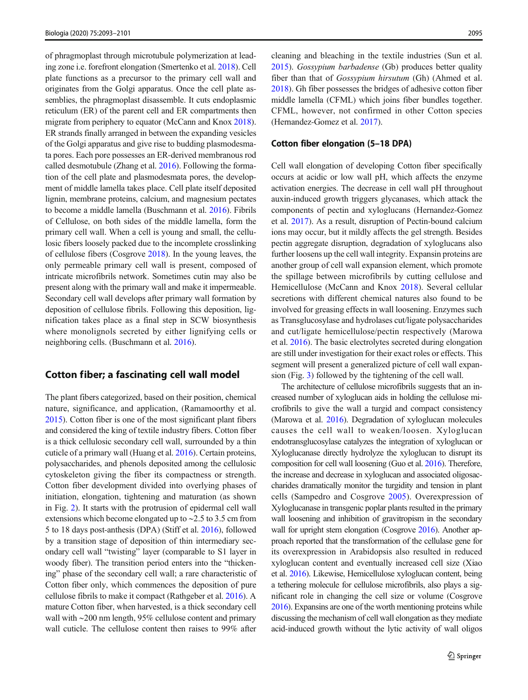of phragmoplast through microtubule polymerization at leading zone i.e. forefront elongation (Smertenko et al. [2018](#page-7-0)). Cell plate functions as a precursor to the primary cell wall and originates from the Golgi apparatus. Once the cell plate assemblies, the phragmoplast disassemble. It cuts endoplasmic reticulum (ER) of the parent cell and ER compartments then migrate from periphery to equator (McCann and Knox [2018\)](#page-7-0). ER strands finally arranged in between the expanding vesicles of the Golgi apparatus and give rise to budding plasmodesmata pores. Each pore possesses an ER-derived membranous rod called desmotubule (Zhang et al. [2016\)](#page-8-0). Following the formation of the cell plate and plasmodesmata pores, the development of middle lamella takes place. Cell plate itself deposited lignin, membrane proteins, calcium, and magnesium pectates to become a middle lamella (Buschmann et al. [2016\)](#page-6-0). Fibrils of Cellulose, on both sides of the middle lamella, form the primary cell wall. When a cell is young and small, the cellulosic fibers loosely packed due to the incomplete crosslinking of cellulose fibers (Cosgrove [2018\)](#page-7-0). In the young leaves, the only permeable primary cell wall is present, composed of intricate microfibrils network. Sometimes cutin may also be present along with the primary wall and make it impermeable. Secondary cell wall develops after primary wall formation by deposition of cellulose fibrils. Following this deposition, lignification takes place as a final step in SCW biosynthesis where monolignols secreted by either lignifying cells or neighboring cells. (Buschmann et al. [2016\)](#page-6-0).

### Cotton fiber; a fascinating cell wall model

The plant fibers categorized, based on their position, chemical nature, significance, and application, (Ramamoorthy et al. [2015\)](#page-7-0). Cotton fiber is one of the most significant plant fibers and considered the king of textile industry fibers. Cotton fiber is a thick cellulosic secondary cell wall, surrounded by a thin cuticle of a primary wall (Huang et al. [2016\)](#page-7-0). Certain proteins, polysaccharides, and phenols deposited among the cellulosic cytoskeleton giving the fiber its compactness or strength. Cotton fiber development divided into overlying phases of initiation, elongation, tightening and maturation (as shown in Fig. [2\)](#page-3-0). It starts with the protrusion of epidermal cell wall extensions which become elongated up to ∼2.5 to 3.5 cm from 5 to 18 days post-anthesis (DPA) (Stiff et al. [2016\)](#page-7-0), followed by a transition stage of deposition of thin intermediary secondary cell wall "twisting" layer (comparable to S1 layer in woody fiber). The transition period enters into the "thickening" phase of the secondary cell wall; a rare characteristic of Cotton fiber only, which commences the deposition of pure cellulose fibrils to make it compact (Rathgeber et al. [2016](#page-7-0)). A mature Cotton fiber, when harvested, is a thick secondary cell wall with ∼200 nm length, 95% cellulose content and primary wall cuticle. The cellulose content then raises to 99% after

cleaning and bleaching in the textile industries (Sun et al. [2015\)](#page-7-0). Gossypium barbadense (Gb) produces better quality fiber than that of *Gossypium hirsutum* (Gh) (Ahmed et al. [2018\)](#page-6-0). Gh fiber possesses the bridges of adhesive cotton fiber middle lamella (CFML) which joins fiber bundles together. CFML, however, not confirmed in other Cotton species (Hernandez-Gomez et al. [2017](#page-7-0)).

#### Cotton fiber elongation (5–18 DPA)

Cell wall elongation of developing Cotton fiber specifically occurs at acidic or low wall pH, which affects the enzyme activation energies. The decrease in cell wall pH throughout auxin-induced growth triggers glycanases, which attack the components of pectin and xyloglucans (Hernandez-Gomez et al. [2017](#page-7-0)). As a result, disruption of Pectin-bound calcium ions may occur, but it mildly affects the gel strength. Besides pectin aggregate disruption, degradation of xyloglucans also further loosens up the cell wall integrity. Expansin proteins are another group of cell wall expansion element, which promote the spillage between microfibrils by cutting cellulose and Hemicellulose (McCann and Knox [2018](#page-7-0)). Several cellular secretions with different chemical natures also found to be involved for greasing effects in wall loosening. Enzymes such as Transglucosylase and hydrolases cut/ligate polysaccharides and cut/ligate hemicellulose/pectin respectively (Marowa et al. [2016\)](#page-7-0). The basic electrolytes secreted during elongation are still under investigation for their exact roles or effects. This segment will present a generalized picture of cell wall expansion (Fig. [3\)](#page-3-0) followed by the tightening of the cell wall.

The architecture of cellulose microfibrils suggests that an increased number of xyloglucan aids in holding the cellulose microfibrils to give the wall a turgid and compact consistency (Marowa et al. [2016\)](#page-7-0). Degradation of xyloglucan molecules causes the cell wall to weaken/loosen. Xyloglucan endotransglucosylase catalyzes the integration of xyloglucan or Xyloglucanase directly hydrolyze the xyloglucan to disrupt its composition for cell wall loosening (Guo et al. [2016](#page-7-0)). Therefore, the increase and decrease in xyloglucan and associated oligosaccharides dramatically monitor the turgidity and tension in plant cells (Sampedro and Cosgrove [2005\)](#page-7-0). Overexpression of Xyloglucanase in transgenic poplar plants resulted in the primary wall loosening and inhibition of gravitropism in the secondary wall for upright stem elongation (Cosgrove [2016\)](#page-7-0). Another approach reported that the transformation of the cellulase gene for its overexpression in Arabidopsis also resulted in reduced xyloglucan content and eventually increased cell size (Xiao et al. [2016](#page-8-0)). Likewise, Hemicellulose xyloglucan content, being a tethering molecule for cellulose microfibrils, also plays a significant role in changing the cell size or volume (Cosgrove [2016\)](#page-7-0). Expansins are one of the worth mentioning proteins while discussing the mechanism of cell wall elongation as they mediate acid-induced growth without the lytic activity of wall oligos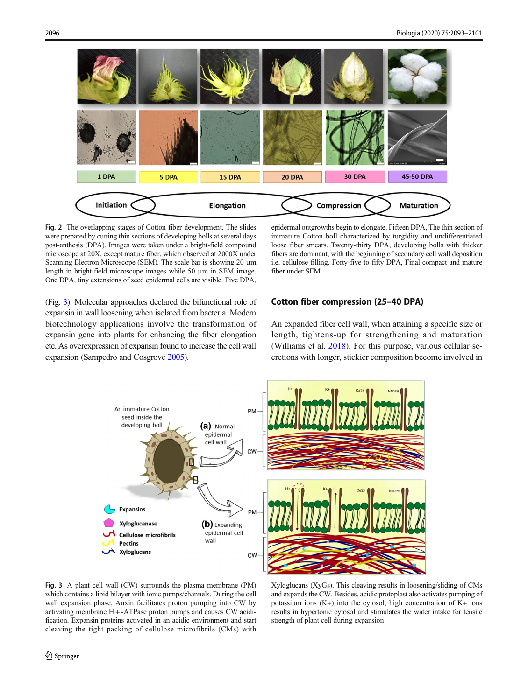<span id="page-3-0"></span>

Fig. 2 The overlapping stages of Cotton fiber development. The slides were prepared by cutting thin sections of developing bolls at several days post-anthesis (DPA). Images were taken under a bright-field compound microscope at 20X, except mature fiber, which observed at 2000X under Scanning Electron Microscope (SEM). The scale bar is showing 20 μm length in bright-field microscope images while 50 μm in SEM image. One DPA, tiny extensions of seed epidermal cells are visible. Five DPA,

epidermal outgrowths begin to elongate. Fifteen DPA, The thin section of immature Cotton boll characterized by turgidity and undifferentiated loose fiber smears. Twenty-thirty DPA, developing bolls with thicker fibers are dominant; with the beginning of secondary cell wall deposition i.e. cellulose filling. Forty-five to fifty DPA, Final compact and mature fiber under SEM

(Fig. 3). Molecular approaches declared the bifunctional role of expansin in wall loosening when isolated from bacteria. Modern biotechnology applications involve the transformation of expansin gene into plants for enhancing the fiber elongation etc. As overexpression of expansin found to increase the cell wall expansion (Sampedro and Cosgrove [2005\)](#page-7-0).

## Cotton fiber compression (25–40 DPA)

An expanded fiber cell wall, when attaining a specific size or length, tightens-up for strengthening and maturation (Williams et al. [2018](#page-8-0)). For this purpose, various cellular secretions with longer, stickier composition become involved in



Fig. 3 A plant cell wall (CW) surrounds the plasma membrane (PM) which contains a lipid bilayer with ionic pumps/channels. During the cell wall expansion phase, Auxin facilitates proton pumping into CW by activating membrane H + -ATPase proton pumps and causes CW acidification. Expansin proteins activated in an acidic environment and start cleaving the tight packing of cellulose microfibrils (CMs) with

Xyloglucans (XyGs). This cleaving results in loosening/sliding of CMs and expands the CW. Besides, acidic protoplast also activates pumping of potassium ions (K+) into the cytosol, high concentration of K+ ions results in hypertonic cytosol and stimulates the water intake for tensile strength of plant cell during expansion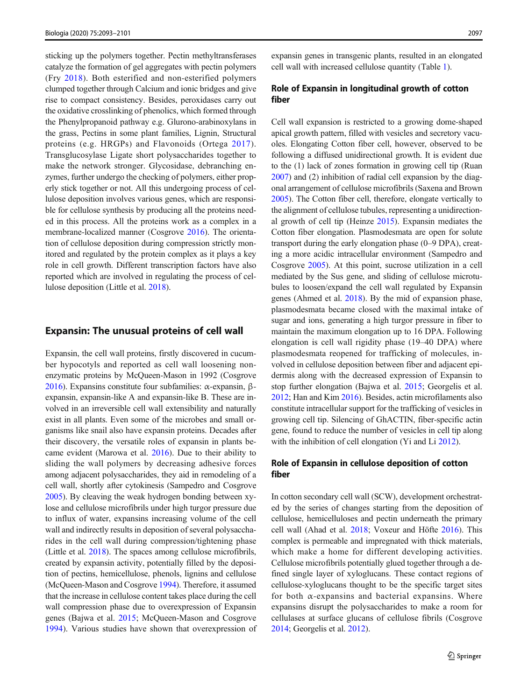sticking up the polymers together. Pectin methyltransferases catalyze the formation of gel aggregates with pectin polymers (Fry [2018\)](#page-7-0). Both esterified and non-esterified polymers clumped together through Calcium and ionic bridges and give rise to compact consistency. Besides, peroxidases carry out the oxidative crosslinking of phenolics, which formed through the Phenylpropanoid pathway e.g. Glurono-arabinoxylans in the grass, Pectins in some plant families, Lignin, Structural proteins (e.g. HRGPs) and Flavonoids (Ortega [2017](#page-7-0)). Transglucosylase Ligate short polysaccharides together to make the network stronger. Glycosidase, debranching enzymes, further undergo the checking of polymers, either properly stick together or not. All this undergoing process of cellulose deposition involves various genes, which are responsible for cellulose synthesis by producing all the proteins needed in this process. All the proteins work as a complex in a membrane-localized manner (Cosgrove [2016\)](#page-7-0). The orientation of cellulose deposition during compression strictly monitored and regulated by the protein complex as it plays a key role in cell growth. Different transcription factors have also reported which are involved in regulating the process of cellulose deposition (Little et al. [2018](#page-7-0)).

#### Expansin: The unusual proteins of cell wall

Expansin, the cell wall proteins, firstly discovered in cucumber hypocotyls and reported as cell wall loosening nonenzymatic proteins by McQueen-Mason in 1992 (Cosgrove [2016\)](#page-7-0). Expansins constitute four subfamilies: α-expansin, βexpansin, expansin-like A and expansin-like B. These are involved in an irreversible cell wall extensibility and naturally exist in all plants. Even some of the microbes and small organisms like snail also have expansin proteins. Decades after their discovery, the versatile roles of expansin in plants became evident (Marowa et al. [2016\)](#page-7-0). Due to their ability to sliding the wall polymers by decreasing adhesive forces among adjacent polysaccharides, they aid in remodeling of a cell wall, shortly after cytokinesis (Sampedro and Cosgrove [2005\)](#page-7-0). By cleaving the weak hydrogen bonding between xylose and cellulose microfibrils under high turgor pressure due to influx of water, expansins increasing volume of the cell wall and indirectly results in deposition of several polysaccharides in the cell wall during compression/tightening phase (Little et al. [2018\)](#page-7-0). The spaces among cellulose microfibrils, created by expansin activity, potentially filled by the deposition of pectins, hemicellulose, phenols, lignins and cellulose (McQueen-Mason and Cosgrove [1994\)](#page-7-0). Therefore, it assumed that the increase in cellulose content takes place during the cell wall compression phase due to overexpression of Expansin genes (Bajwa et al. [2015;](#page-6-0) McQueen-Mason and Cosgrove [1994\)](#page-7-0). Various studies have shown that overexpression of expansin genes in transgenic plants, resulted in an elongated cell wall with increased cellulose quantity (Table [1\)](#page-5-0).

## Role of Expansin in longitudinal growth of cotton fiber

Cell wall expansion is restricted to a growing dome-shaped apical growth pattern, filled with vesicles and secretory vacuoles. Elongating Cotton fiber cell, however, observed to be following a diffused unidirectional growth. It is evident due to the (1) lack of zones formation in growing cell tip (Ruan [2007\)](#page-7-0) and (2) inhibition of radial cell expansion by the diagonal arrangement of cellulose microfibrils (Saxena and Brown [2005\)](#page-7-0). The Cotton fiber cell, therefore, elongate vertically to the alignment of cellulose tubules, representing a unidirectional growth of cell tip (Heinze [2015](#page-7-0)). Expansin mediates the Cotton fiber elongation. Plasmodesmata are open for solute transport during the early elongation phase (0–9 DPA), creating a more acidic intracellular environment (Sampedro and Cosgrove [2005](#page-7-0)). At this point, sucrose utilization in a cell mediated by the Sus gene, and sliding of cellulose microtubules to loosen/expand the cell wall regulated by Expansin genes (Ahmed et al. [2018\)](#page-6-0). By the mid of expansion phase, plasmodesmata became closed with the maximal intake of sugar and ions, generating a high turgor pressure in fiber to maintain the maximum elongation up to 16 DPA. Following elongation is cell wall rigidity phase (19–40 DPA) where plasmodesmata reopened for trafficking of molecules, involved in cellulose deposition between fiber and adjacent epidermis along with the decreased expression of Expansin to stop further elongation (Bajwa et al. [2015](#page-6-0); Georgelis et al. [2012;](#page-7-0) Han and Kim [2016\)](#page-7-0). Besides, actin microfilaments also constitute intracellular support for the trafficking of vesicles in growing cell tip. Silencing of GhACTIN, fiber-specific actin gene, found to reduce the number of vesicles in cell tip along with the inhibition of cell elongation (Yi and Li [2012](#page-8-0)).

## Role of Expansin in cellulose deposition of cotton fiber

In cotton secondary cell wall (SCW), development orchestrated by the series of changes starting from the deposition of cellulose, hemicelluloses and pectin underneath the primary cell wall (Ahad et al. [2018](#page-6-0); Voxeur and Höfte [2016\)](#page-7-0). This complex is permeable and impregnated with thick materials, which make a home for different developing activities. Cellulose microfibrils potentially glued together through a defined single layer of xyloglucans. These contact regions of cellulose-xyloglucans thought to be the specific target sites for both  $\alpha$ -expansins and bacterial expansins. Where expansins disrupt the polysaccharides to make a room for cellulases at surface glucans of cellulose fibrils (Cosgrove [2014;](#page-7-0) Georgelis et al. [2012](#page-7-0)).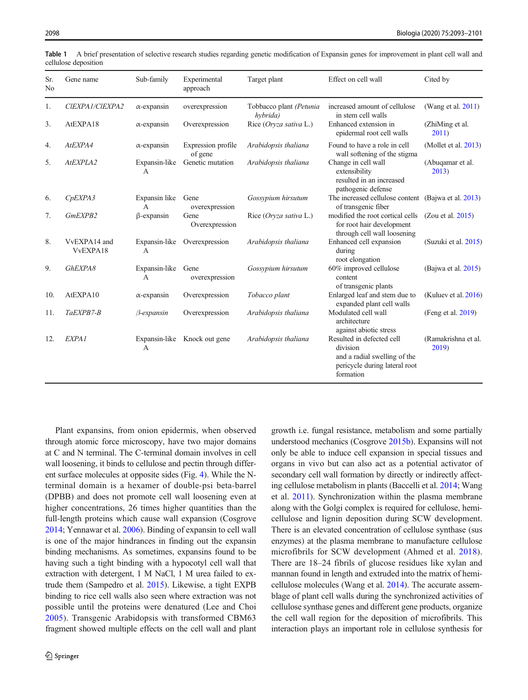| Sr.<br>N <sub>0</sub> | Gene name                | Sub-family                      | Experimental<br>approach      | Target plant                        | Effect on cell wall                                                                                                 | Cited by                     |
|-----------------------|--------------------------|---------------------------------|-------------------------------|-------------------------------------|---------------------------------------------------------------------------------------------------------------------|------------------------------|
| 1.                    | CIEXPA1/CIEXPA2          | $\alpha$ -expansin              | overexpression                | Tobbacco plant (Petunia<br>hybrida) | increased amount of cellulose<br>in stem cell walls                                                                 | (Wang et al. $2011$ )        |
| 3.                    | AtEXPA18                 | $\alpha$ -expansin              | Overexpression                | Rice (Oryza sativa L.)              | Enhanced extension in<br>epidermal root cell walls                                                                  | (ZhiMing et al.)<br>2011)    |
| 4.                    | AtEXPA4                  | $\alpha$ -expansin              | Expression profile<br>of gene | Arabidopsis thaliana                | Found to have a role in cell<br>wall softening of the stigma                                                        | (Mollet et al. $2013$ )      |
| 5.                    | AtEXPLA2                 | Expansin-like<br>А              | Genetic mutation              | Arabidopsis thaliana                | Change in cell wall<br>extensibility<br>resulted in an increased<br>pathogenic defense                              | (Abuqamar et al.<br>2013     |
| 6.                    | C <sub>p</sub> EXPA3     | Expansin like<br>$\overline{A}$ | Gene<br>overexpression        | Gossypium hirsutum                  | The increased cellulose content<br>of transgenic fiber                                                              | (Baiwa et al. 2013)          |
| 7.                    | GmEXPB2                  | $\beta$ -expansin               | Gene<br>Overexpression        | Rice (Oryza sativa L.)              | modified the root cortical cells<br>for root hair development<br>through cell wall loosening                        | (Zou et al. 2015)            |
| 8.                    | VvEXPA14 and<br>VvEXPA18 | Expansin-like<br>$\overline{A}$ | Overexpression                | Arabidopsis thaliana                | Enhanced cell expansion<br>during<br>root elongation                                                                | (Suzuki et al. 2015)         |
| 9.                    | GhEXPA8                  | Expansin-like<br>A              | Gene<br>overexpression        | Gossypium hirsutum                  | 60% improved cellulose<br>content<br>of transgenic plants                                                           | (Bajwa et al. 2015)          |
| 10.                   | AtEXPA10                 | $\alpha$ -expansin              | Overexpression                | Tobacco plant                       | Enlarged leaf and stem due to<br>expanded plant cell walls                                                          | (Kuluev et al. $2016$ )      |
| 11.                   | TaEXPB7-B                | $\beta$ -expansin               | Overexpression                | Arabidopsis thaliana                | Modulated cell wall<br>architecture<br>against abiotic stress                                                       | (Feng et al. 2019)           |
| 12.                   | EXPA <sub>1</sub>        | A                               | Expansin-like Knock out gene  | Arabidopsis thaliana                | Resulted in defected cell<br>division<br>and a radial swelling of the<br>pericycle during lateral root<br>formation | (Ramakrishna et al.<br>2019) |

<span id="page-5-0"></span>Table 1 A brief presentation of selective research studies regarding genetic modification of Expansin genes for improvement in plant cell wall and cellulose deposition

Plant expansins, from onion epidermis, when observed through atomic force microscopy, have two major domains at C and N terminal. The C-terminal domain involves in cell wall loosening, it binds to cellulose and pectin through different surface molecules at opposite sides (Fig. [4](#page-6-0)). While the Nterminal domain is a hexamer of double-psi beta-barrel (DPBB) and does not promote cell wall loosening even at higher concentrations, 26 times higher quantities than the full-length proteins which cause wall expansion (Cosgrove [2014;](#page-7-0) Yennawar et al. [2006](#page-8-0)). Binding of expansin to cell wall is one of the major hindrances in finding out the expansin binding mechanisms. As sometimes, expansins found to be having such a tight binding with a hypocotyl cell wall that extraction with detergent, 1 M NaCl, 1 M urea failed to extrude them (Sampedro et al. [2015](#page-7-0)). Likewise, a tight EXPB binding to rice cell walls also seen where extraction was not possible until the proteins were denatured (Lee and Choi [2005](#page-7-0)). Transgenic Arabidopsis with transformed CBM63 fragment showed multiple effects on the cell wall and plant

growth i.e. fungal resistance, metabolism and some partially understood mechanics (Cosgrove [2015b](#page-7-0)). Expansins will not only be able to induce cell expansion in special tissues and organs in vivo but can also act as a potential activator of secondary cell wall formation by directly or indirectly affecting cellulose metabolism in plants (Baccelli et al. [2014](#page-6-0); Wang et al. [2011\)](#page-7-0). Synchronization within the plasma membrane along with the Golgi complex is required for cellulose, hemicellulose and lignin deposition during SCW development. There is an elevated concentration of cellulose synthase (sus enzymes) at the plasma membrane to manufacture cellulose microfibrils for SCW development (Ahmed et al. [2018](#page-6-0)). There are 18–24 fibrils of glucose residues like xylan and mannan found in length and extruded into the matrix of hemicellulose molecules (Wang et al. [2014](#page-8-0)). The accurate assemblage of plant cell walls during the synchronized activities of cellulose synthase genes and different gene products, organize the cell wall region for the deposition of microfibrils. This interaction plays an important role in cellulose synthesis for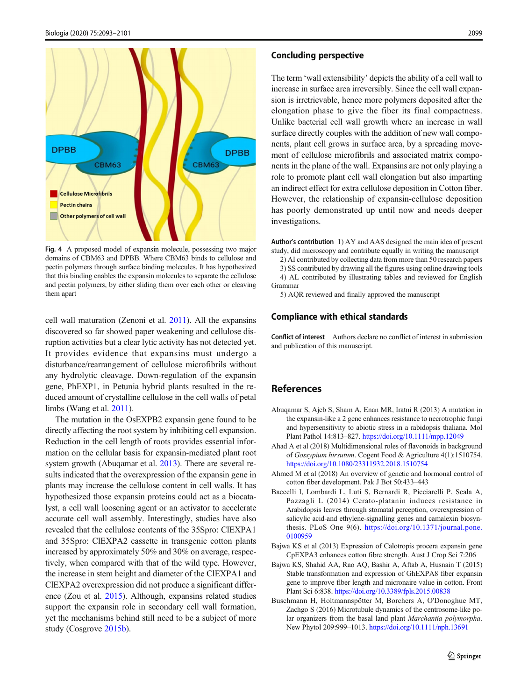<span id="page-6-0"></span>

Fig. 4 A proposed model of expansin molecule, possessing two major domains of CBM63 and DPBB. Where CBM63 binds to cellulose and pectin polymers through surface binding molecules. It has hypothesized that this binding enables the expansin molecules to separate the cellulose and pectin polymers, by either sliding them over each other or cleaving them apart

cell wall maturation (Zenoni et al. [2011\)](#page-8-0). All the expansins discovered so far showed paper weakening and cellulose disruption activities but a clear lytic activity has not detected yet. It provides evidence that expansins must undergo a disturbance/rearrangement of cellulose microfibrils without any hydrolytic cleavage. Down-regulation of the expansin gene, PhEXP1, in Petunia hybrid plants resulted in the reduced amount of crystalline cellulose in the cell walls of petal limbs (Wang et al. [2011](#page-7-0)).

The mutation in the OsEXPB2 expansin gene found to be directly affecting the root system by inhibiting cell expansion. Reduction in the cell length of roots provides essential information on the cellular basis for expansin-mediated plant root system growth (Abuqamar et al. 2013). There are several results indicated that the overexpression of the expansin gene in plants may increase the cellulose content in cell walls. It has hypothesized those expansin proteins could act as a biocatalyst, a cell wall loosening agent or an activator to accelerate accurate cell wall assembly. Interestingly, studies have also revealed that the cellulose contents of the 35Spro: ClEXPA1 and 35Spro: ClEXPA2 cassette in transgenic cotton plants increased by approximately 50% and 30% on average, respectively, when compared with that of the wild type. However, the increase in stem height and diameter of the ClEXPA1 and ClEXPA2 overexpression did not produce a significant difference (Zou et al. [2015](#page-8-0)). Although, expansins related studies support the expansin role in secondary cell wall formation, yet the mechanisms behind still need to be a subject of more study (Cosgrove [2015b](#page-7-0)).

#### Concluding perspective

The term 'wall extensibility' depicts the ability of a cell wall to increase in surface area irreversibly. Since the cell wall expansion is irretrievable, hence more polymers deposited after the elongation phase to give the fiber its final compactness. Unlike bacterial cell wall growth where an increase in wall surface directly couples with the addition of new wall components, plant cell grows in surface area, by a spreading movement of cellulose microfibrils and associated matrix components in the plane of the wall. Expansins are not only playing a role to promote plant cell wall elongation but also imparting an indirect effect for extra cellulose deposition in Cotton fiber. However, the relationship of expansin-cellulose deposition has poorly demonstrated up until now and needs deeper investigations.

Author's contribution 1) AY and AAS designed the main idea of present study, did microscopy and contribute equally in writing the manuscript

2) AI contributed by collecting data from more than 50 research papers

3) SS contributed by drawing all the figures using online drawing tools 4) AL contributed by illustrating tables and reviewed for English Grammar

5) AQR reviewed and finally approved the manuscript

#### Compliance with ethical standards

Conflict of interest Authors declare no conflict of interest in submission and publication of this manuscript.

## References

- Abuqamar S, Ajeb S, Sham A, Enan MR, Iratni R (2013) A mutation in the expansin-like a 2 gene enhances resistance to necrotrophic fungi and hypersensitivity to abiotic stress in a rabidopsis thaliana. Mol Plant Pathol 14:813–827. <https://doi.org/10.1111/mpp.12049>
- Ahad A et al (2018) Multidimensional roles of flavonoids in background of Gossypium hirsutum. Cogent Food & Agriculture 4(1):1510754. <https://doi.org/10.1080/23311932.2018.1510754>
- Ahmed M et al (2018) An overview of genetic and hormonal control of cotton fiber development. Pak J Bot 50:433–443
- Baccelli I, Lombardi L, Luti S, Bernardi R, Picciarelli P, Scala A, Pazzagli L (2014) Cerato-platanin induces resistance in Arabidopsis leaves through stomatal perception, overexpression of salicylic acid-and ethylene-signalling genes and camalexin biosynthesis. PLoS One 9(6). [https://doi.org/10.1371/journal.pone.](https://doi.org/10.1371/journal.pone.0100959) [0100959](https://doi.org/10.1371/journal.pone.0100959)
- Bajwa KS et al (2013) Expression of Calotropis procera expansin gene CpEXPA3 enhances cotton fibre strength. Aust J Crop Sci 7:206
- Bajwa KS, Shahid AA, Rao AQ, Bashir A, Aftab A, Husnain T (2015) Stable transformation and expression of GhEXPA8 fiber expansin gene to improve fiber length and micronaire value in cotton. Front Plant Sci 6:838. <https://doi.org/10.3389/fpls.2015.00838>
- Buschmann H, Holtmannspötter M, Borchers A, O'Donoghue MT, Zachgo S (2016) Microtubule dynamics of the centrosome-like polar organizers from the basal land plant Marchantia polymorpha. New Phytol 209:999–1013. <https://doi.org/10.1111/nph.13691>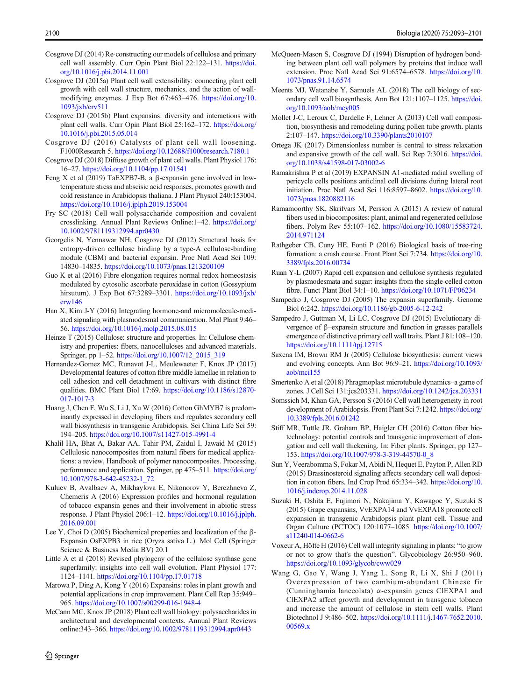- <span id="page-7-0"></span>Cosgrove DJ (2014) Re-constructing our models of cellulose and primary cell wall assembly. Curr Opin Plant Biol 22:122–131. [https://doi.](https://doi.org/10.1016/j.pbi.2014.11.001) [org/10.1016/j.pbi.2014.11.001](https://doi.org/10.1016/j.pbi.2014.11.001)
- Cosgrove DJ (2015a) Plant cell wall extensibility: connecting plant cell growth with cell wall structure, mechanics, and the action of wallmodifying enzymes. J Exp Bot 67:463–476. [https://doi.org/10.](https://doi.org/10.1093/jxb/erv511) [1093/jxb/erv511](https://doi.org/10.1093/jxb/erv511)
- Cosgrove DJ (2015b) Plant expansins: diversity and interactions with plant cell walls. Curr Opin Plant Biol 25:162–172. [https://doi.org/](https://doi.org/10.1016/j.pbi.2015.05.014) [10.1016/j.pbi.2015.05.014](https://doi.org/10.1016/j.pbi.2015.05.014)
- Cosgrove DJ (2016) Catalysts of plant cell wall loosening. F1000Research 5. <https://doi.org/10.12688/f1000research.7180.1>
- Cosgrove DJ (2018) Diffuse growth of plant cell walls. Plant Physiol 176: 16–27. <https://doi.org/10.1104/pp.17.01541>
- Feng X et al (2019) TaEXPB7-B, a β-expansin gene involved in lowtemperature stress and abscisic acid responses, promotes growth and cold resistance in Arabidopsis thaliana. J Plant Physiol 240:153004. <https://doi.org/10.1016/j.jplph.2019.153004>
- Fry SC (2018) Cell wall polysaccharide composition and covalent crosslinking. Annual Plant Reviews Online:1–42. [https://doi.org/](https://doi.org/10.1002/9781119312994.apr0430) [10.1002/9781119312994.apr0430](https://doi.org/10.1002/9781119312994.apr0430)
- Georgelis N, Yennawar NH, Cosgrove DJ (2012) Structural basis for entropy-driven cellulose binding by a type-A cellulose-binding module (CBM) and bacterial expansin. Proc Natl Acad Sci 109: 14830–14835. <https://doi.org/10.1073/pnas.1213200109>
- Guo K et al (2016) Fibre elongation requires normal redox homeostasis modulated by cytosolic ascorbate peroxidase in cotton (Gossypium hirsutum). J Exp Bot 67:3289–3301. [https://doi.org/10.1093/jxb/](https://doi.org/10.1093/jxb/erw146) [erw146](https://doi.org/10.1093/jxb/erw146)
- Han X, Kim J-Y (2016) Integrating hormone-and micromolecule-mediated signaling with plasmodesmal communication. Mol Plant 9:46– 56. <https://doi.org/10.1016/j.molp.2015.08.015>
- Heinze T (2015) Cellulose: structure and properties. In: Cellulose chemistry and properties: fibers, nanocelluloses and advanced materials. Springer, pp 1–52. [https://doi.org/10.1007/12\\_2015\\_319](https://doi.org/10.1007/12_2015_319)
- Hernandez-Gomez MC, Runavot J-L, Meulewaeter F, Knox JP (2017) Developmental features of cotton fibre middle lamellae in relation to cell adhesion and cell detachment in cultivars with distinct fibre qualities. BMC Plant Biol 17:69. [https://doi.org/10.1186/s12870-](https://doi.org/10.1186/s12870-017-1017-3) [017-1017-3](https://doi.org/10.1186/s12870-017-1017-3)
- Huang J, Chen F, Wu S, Li J, Xu W (2016) Cotton GhMYB7 is predominantly expressed in developing fibers and regulates secondary cell wall biosynthesis in transgenic Arabidopsis. Sci China Life Sci 59: 194–205. <https://doi.org/10.1007/s11427-015-4991-4>
- Khalil HA, Bhat A, Bakar AA, Tahir PM, Zaidul I, Jawaid M (2015) Cellulosic nanocomposites from natural fibers for medical applications: a review, Handbook of polymer nanocomposites. Processing, performance and application. Springer, pp 475–511. [https://doi.org/](https://doi.org/10.1007/978-3-642-45232-1_72) [10.1007/978-3-642-45232-1\\_72](https://doi.org/10.1007/978-3-642-45232-1_72)
- Kuluev B, Avalbaev A, Mikhaylova E, Nikonorov Y, Berezhneva Z, Chemeris A (2016) Expression profiles and hormonal regulation of tobacco expansin genes and their involvement in abiotic stress response. J Plant Physiol 206:1–12. [https://doi.org/10.1016/j.jplph.](https://doi.org/10.1016/j.jplph.2016.09.001) [2016.09.001](https://doi.org/10.1016/j.jplph.2016.09.001)
- Lee Y, Choi D (2005) Biochemical properties and localization of the β-Expansin OsEXPB3 in rice (Oryza sativa L.). Mol Cell (Springer Science & Business Media BV) 20.1
- Little A et al (2018) Revised phylogeny of the cellulose synthase gene superfamily: insights into cell wall evolution. Plant Physiol 177: 1124–1141. <https://doi.org/10.1104/pp.17.01718>
- Marowa P, Ding A, Kong Y (2016) Expansins: roles in plant growth and potential applications in crop improvement. Plant Cell Rep 35:949– 965. <https://doi.org/10.1007/s00299-016-1948-4>
- McCann MC, Knox JP (2018) Plant cell wall biology: polysaccharides in architectural and developmental contexts. Annual Plant Reviews online:343–366. <https://doi.org/10.1002/9781119312994.apr0443>
- McQueen-Mason S, Cosgrove DJ (1994) Disruption of hydrogen bonding between plant cell wall polymers by proteins that induce wall extension. Proc Natl Acad Sci 91:6574–6578. [https://doi.org/10.](https://doi.org/10.1073/pnas.91.14.6574) [1073/pnas.91.14.6574](https://doi.org/10.1073/pnas.91.14.6574)
- Meents MJ, Watanabe Y, Samuels AL (2018) The cell biology of secondary cell wall biosynthesis. Ann Bot 121:1107–1125. [https://doi.](https://doi.org/10.1093/aob/mcy005) [org/10.1093/aob/mcy005](https://doi.org/10.1093/aob/mcy005)
- Mollet J-C, Leroux C, Dardelle F, Lehner A (2013) Cell wall composition, biosynthesis and remodeling during pollen tube growth. plants 2:107–147. <https://doi.org/10.3390/plants2010107>
- Ortega JK (2017) Dimensionless number is central to stress relaxation and expansive growth of the cell wall. Sci Rep 7:3016. [https://doi.](https://doi.org/10.1038/s41598-017-03002-6) [org/10.1038/s41598-017-03002-6](https://doi.org/10.1038/s41598-017-03002-6)
- Ramakrishna P et al (2019) EXPANSIN A1-mediated radial swelling of pericycle cells positions anticlinal cell divisions during lateral root initiation. Proc Natl Acad Sci 116:8597–8602. [https://doi.org/10.](https://doi.org/10.1073/pnas.1820882116) [1073/pnas.1820882116](https://doi.org/10.1073/pnas.1820882116)
- Ramamoorthy SK, Skrifvars M, Persson A (2015) A review of natural fibers used in biocomposites: plant, animal and regenerated cellulose fibers. Polym Rev 55:107–162. [https://doi.org/10.1080/15583724.](https://doi.org/10.1080/15583724.2014.971124) [2014.971124](https://doi.org/10.1080/15583724.2014.971124)
- Rathgeber CB, Cuny HE, Fonti P (2016) Biological basis of tree-ring formation: a crash course. Front Plant Sci 7:734. [https://doi.org/10.](https://doi.org/10.3389/fpls.2016.00734) [3389/fpls.2016.00734](https://doi.org/10.3389/fpls.2016.00734)
- Ruan Y-L (2007) Rapid cell expansion and cellulose synthesis regulated by plasmodesmata and sugar: insights from the single-celled cotton fibre. Funct Plant Biol 34:1–10. <https://doi.org/10.1071/FP06234>
- Sampedro J, Cosgrove DJ (2005) The expansin superfamily. Genome Biol 6:242. <https://doi.org/10.1186/gb-2005-6-12-242>
- Sampedro J, Guttman M, Li LC, Cosgrove DJ (2015) Evolutionary divergence of β–expansin structure and function in grasses parallels emergence of distinctive primary cell wall traits. Plant J 81:108–120. <https://doi.org/10.1111/tpj.12715>
- Saxena IM, Brown RM Jr (2005) Cellulose biosynthesis: current views and evolving concepts. Ann Bot 96:9–21. [https://doi.org/10.1093/](https://doi.org/10.1093/aob/mci155) [aob/mci155](https://doi.org/10.1093/aob/mci155)
- Smertenko A et al (2018) Phragmoplast microtubule dynamics–a game of zones. J Cell Sci 131:jcs203331. <https://doi.org/10.1242/jcs.203331>
- Somssich M, Khan GA, Persson S (2016) Cell wall heterogeneity in root development of Arabidopsis. Front Plant Sci 7:1242. [https://doi.org/](https://doi.org/10.3389/fpls.2016.01242) [10.3389/fpls.2016.01242](https://doi.org/10.3389/fpls.2016.01242)
- Stiff MR, Tuttle JR, Graham BP, Haigler CH (2016) Cotton fiber biotechnology: potential controls and transgenic improvement of elongation and cell wall thickening. In: Fiber plants. Springer, pp 127– 153. [https://doi.org/10.1007/978-3-319-44570-0\\_8](https://doi.org/10.1007/978-3-319-44570-0_8)
- Sun Y, Veerabomma S, Fokar M, Abidi N, Hequet E, Payton P, Allen RD (2015) Brassinosteroid signaling affects secondary cell wall deposition in cotton fibers. Ind Crop Prod 65:334–342. [https://doi.org/10.](https://doi.org/10.1016/j.indcrop.2014.11.028) [1016/j.indcrop.2014.11.028](https://doi.org/10.1016/j.indcrop.2014.11.028)
- Suzuki H, Oshita E, Fujimori N, Nakajima Y, Kawagoe Y, Suzuki S (2015) Grape expansins, VvEXPA14 and VvEXPA18 promote cell expansion in transgenic Arabidopsis plant plant cell. Tissue and Organ Culture (PCTOC) 120:1077–1085. [https://doi.org/10.1007/](https://doi.org/10.1007/s11240-014-0662-6) [s11240-014-0662-6](https://doi.org/10.1007/s11240-014-0662-6)
- Voxeur A, Höfte H (2016) Cell wall integrity signaling in plants: "to grow or not to grow that's the question". Glycobiology 26:950–960. <https://doi.org/10.1093/glycob/cww029>
- Wang G, Gao Y, Wang J, Yang L, Song R, Li X, Shi J (2011) Overexpression of two cambium-abundant Chinese fir (Cunninghamia lanceolata) α-expansin genes ClEXPA1 and ClEXPA2 affect growth and development in transgenic tobacco and increase the amount of cellulose in stem cell walls. Plant Biotechnol J 9:486–502. [https://doi.org/10.1111/j.1467-7652.2010.](https://doi.org/10.1111/j.1467-7652.2010.00569.x) [00569.x](https://doi.org/10.1111/j.1467-7652.2010.00569.x)